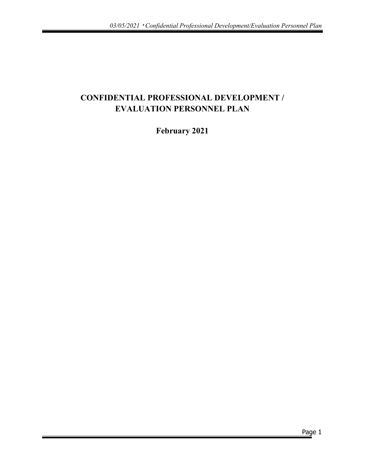# **CONFIDENTIAL PROFESSIONAL DEVELOPMENT / EVALUATION PERSONNEL PLAN**

**February 2021**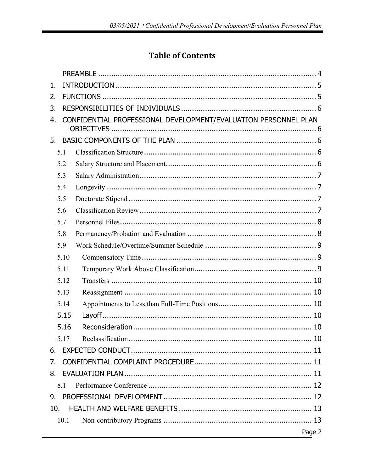# **Table of Contents**

| 1.  |      |                                                                 |
|-----|------|-----------------------------------------------------------------|
| 2.  |      |                                                                 |
| 3.  |      |                                                                 |
| 4.  |      | CONFIDENTIAL PROFESSIONAL DEVELOPMENT/EVALUATION PERSONNEL PLAN |
|     |      |                                                                 |
| 5.  |      |                                                                 |
|     | 5.1  |                                                                 |
|     | 5.2  |                                                                 |
|     | 5.3  |                                                                 |
|     | 5.4  |                                                                 |
|     | 5.5  |                                                                 |
|     | 5.6  |                                                                 |
|     | 5.7  |                                                                 |
|     | 5.8  |                                                                 |
|     | 5.9  |                                                                 |
|     | 5.10 |                                                                 |
|     | 5.11 |                                                                 |
|     | 5.12 |                                                                 |
|     | 5.13 |                                                                 |
|     | 5.14 |                                                                 |
|     | 5.15 |                                                                 |
|     | 5.16 |                                                                 |
|     | 5.17 |                                                                 |
| 6.  |      |                                                                 |
| 7.  |      |                                                                 |
| 8.  |      |                                                                 |
|     | 8.1  |                                                                 |
| 9.  |      |                                                                 |
| 10. |      |                                                                 |
|     | 10.1 |                                                                 |
|     |      | Page 2                                                          |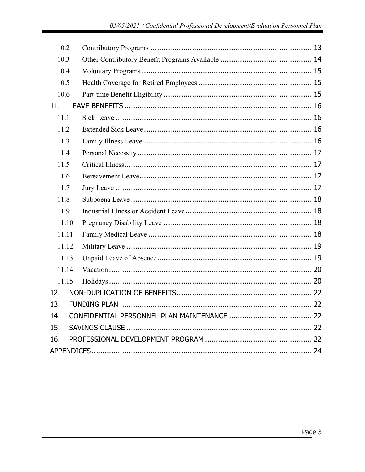| 10.2  |  |  |
|-------|--|--|
| 10.3  |  |  |
| 10.4  |  |  |
| 10.5  |  |  |
| 10.6  |  |  |
| 11.   |  |  |
| 11.1  |  |  |
| 11.2  |  |  |
| 11.3  |  |  |
| 11.4  |  |  |
| 11.5  |  |  |
| 11.6  |  |  |
| 11.7  |  |  |
| 11.8  |  |  |
| 11.9  |  |  |
| 11.10 |  |  |
| 11.11 |  |  |
| 11.12 |  |  |
| 11.13 |  |  |
| 11.14 |  |  |
| 11.15 |  |  |
| 12.   |  |  |
| 13.   |  |  |
| 14.   |  |  |
| 15.   |  |  |
| 16.   |  |  |
|       |  |  |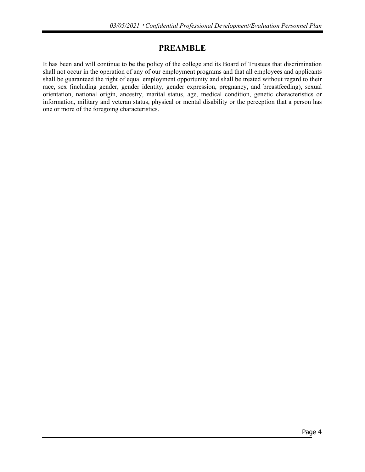# **PREAMBLE**

It has been and will continue to be the policy of the college and its Board of Trustees that discrimination shall not occur in the operation of any of our employment programs and that all employees and applicants shall be guaranteed the right of equal employment opportunity and shall be treated without regard to their race, sex (including gender, gender identity, gender expression, pregnancy, and breastfeeding), sexual orientation, national origin, ancestry, marital status, age, medical condition, genetic characteristics or information, military and veteran status, physical or mental disability or the perception that a person has one or more of the foregoing characteristics.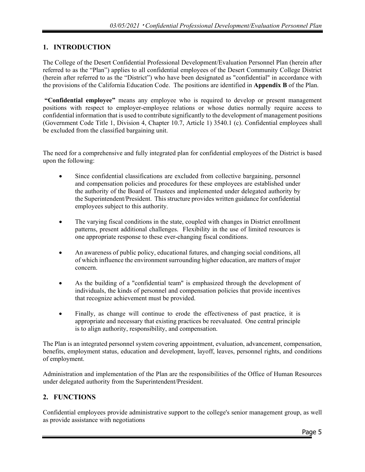# <span id="page-4-0"></span>**1. INTRODUCTION**

The College of the Desert Confidential Professional Development/Evaluation Personnel Plan (herein after referred to as the "Plan") applies to all confidential employees of the Desert Community College District (herein after referred to as the "District") who have been designated as "confidential" in accordance with the provisions of the California Education Code. The positions are identified in **Appendix B** of the Plan.

**"Confidential employee"** means any employee who is required to develop or present management positions with respect to employer-employee relations or whose duties normally require access to confidential information that is used to contribute significantly to the development of management positions (Government Code Title 1, Division 4, Chapter 10.7, Article 1) 3540.1 (c). Confidential employees shall be excluded from the classified bargaining unit.

The need for a comprehensive and fully integrated plan for confidential employees of the District is based upon the following:

- Since confidential classifications are excluded from collective bargaining, personnel and compensation policies and procedures for these employees are established under the authority of the Board of Trustees and implemented under delegated authority by the Superintendent/President. This structure provides written guidance for confidential employees subject to this authority.
- The varying fiscal conditions in the state, coupled with changes in District enrollment patterns, present additional challenges. Flexibility in the use of limited resources is one appropriate response to these ever-changing fiscal conditions.
- An awareness of public policy, educational futures, and changing social conditions, all of which influence the environment surrounding higher education, are matters of major concern.
- As the building of a "confidential team" is emphasized through the development of individuals, the kinds of personnel and compensation policies that provide incentives that recognize achievement must be provided.
- Finally, as change will continue to erode the effectiveness of past practice, it is appropriate and necessary that existing practices be reevaluated. One central principle is to align authority, responsibility, and compensation.

The Plan is an integrated personnel system covering appointment, evaluation, advancement, compensation, benefits, employment status, education and development, layoff, leaves, personnel rights, and conditions of employment.

Administration and implementation of the Plan are the responsibilities of the Office of Human Resources under delegated authority from the Superintendent/President.

## <span id="page-4-1"></span>**2. FUNCTIONS**

Confidential employees provide administrative support to the college's senior management group, as well as provide assistance with negotiations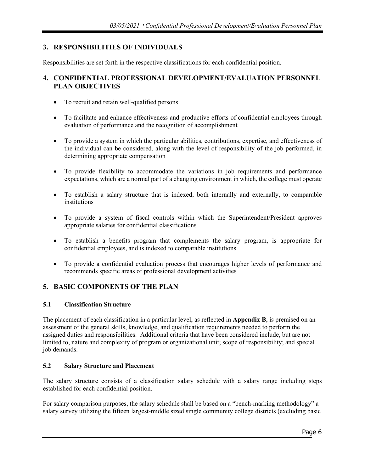# <span id="page-5-0"></span>**3. RESPONSIBILITIES OF INDIVIDUALS**

Responsibilities are set forth in the respective classifications for each confidential position.

## <span id="page-5-1"></span>**4. CONFIDENTIAL PROFESSIONAL DEVELOPMENT/EVALUATION PERSONNEL PLAN OBJECTIVES**

- To recruit and retain well-qualified persons
- To facilitate and enhance effectiveness and productive efforts of confidential employees through evaluation of performance and the recognition of accomplishment
- To provide a system in which the particular abilities, contributions, expertise, and effectiveness of the individual can be considered, along with the level of responsibility of the job performed, in determining appropriate compensation
- To provide flexibility to accommodate the variations in job requirements and performance expectations, which are a normal part of a changing environment in which, the college must operate
- To establish a salary structure that is indexed, both internally and externally, to comparable institutions
- To provide a system of fiscal controls within which the Superintendent/President approves appropriate salaries for confidential classifications
- To establish a benefits program that complements the salary program, is appropriate for confidential employees, and is indexed to comparable institutions
- To provide a confidential evaluation process that encourages higher levels of performance and recommends specific areas of professional development activities

## <span id="page-5-2"></span>**5. BASIC COMPONENTS OF THE PLAN**

## <span id="page-5-3"></span>**5.1 Classification Structure**

The placement of each classification in a particular level, as reflected in **Appendix B**, is premised on an assessment of the general skills, knowledge, and qualification requirements needed to perform the assigned duties and responsibilities. Additional criteria that have been considered include, but are not limited to, nature and complexity of program or organizational unit; scope of responsibility; and special job demands.

## <span id="page-5-4"></span>**5.2 Salary Structure and Placement**

The salary structure consists of a classification salary schedule with a salary range including steps established for each confidential position.

For salary comparison purposes, the salary schedule shall be based on a "bench-marking methodology" a salary survey utilizing the fifteen largest-middle sized single community college districts (excluding basic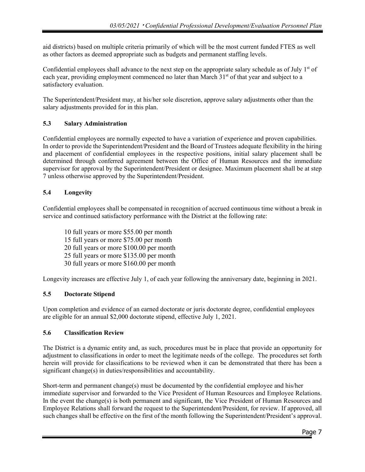aid districts) based on multiple criteria primarily of which will be the most current funded FTES as well as other factors as deemed appropriate such as budgets and permanent staffing levels.

Confidential employees shall advance to the next step on the appropriate salary schedule as of July  $1<sup>st</sup>$  of each year, providing employment commenced no later than March 31<sup>st</sup> of that year and subject to a satisfactory evaluation.

The Superintendent/President may, at his/her sole discretion, approve salary adjustments other than the salary adjustments provided for in this plan.

## <span id="page-6-0"></span>**5.3 Salary Administration**

Confidential employees are normally expected to have a variation of experience and proven capabilities. In order to provide the Superintendent/President and the Board of Trustees adequate flexibility in the hiring and placement of confidential employees in the respective positions, initial salary placement shall be determined through conferred agreement between the Office of Human Resources and the immediate supervisor for approval by the Superintendent/President or designee. Maximum placement shall be at step 7 unless otherwise approved by the Superintendent/President.

## **5.4 Longevity**

Confidential employees shall be compensated in recognition of accrued continuous time without a break in service and continued satisfactory performance with the District at the following rate:

10 full years or more \$55.00 per month 15 full years or more \$75.00 per month 20 full years or more \$100.00 per month 25 full years or more \$135.00 per month 30 full years or more \$160.00 per month

Longevity increases are effective July 1, of each year following the anniversary date, beginning in 2021.

## **5.5 Doctorate Stipend**

Upon completion and evidence of an earned doctorate or juris doctorate degree, confidential employees are eligible for an annual \$2,000 doctorate stipend, effective July 1, 2021.

## <span id="page-6-1"></span>**5.6 Classification Review**

The District is a dynamic entity and, as such, procedures must be in place that provide an opportunity for adjustment to classifications in order to meet the legitimate needs of the college. The procedures set forth herein will provide for classifications to be reviewed when it can be demonstrated that there has been a significant change(s) in duties/responsibilities and accountability.

Short-term and permanent change(s) must be documented by the confidential employee and his/her immediate supervisor and forwarded to the Vice President of Human Resources and Employee Relations. In the event the change(s) is both permanent and significant, the Vice President of Human Resources and Employee Relations shall forward the request to the Superintendent/President, for review. If approved, all such changes shall be effective on the first of the month following the Superintendent/President's approval.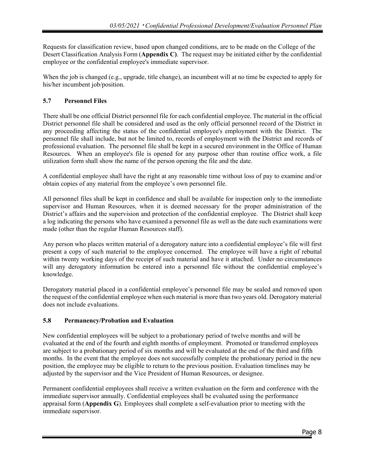Requests for classification review, based upon changed conditions, are to be made on the College of the Desert Classification Analysis Form (**Appendix C)**. The request may be initiated either by the confidential employee or the confidential employee's immediate supervisor.

When the job is changed (e.g., upgrade, title change), an incumbent will at no time be expected to apply for his/her incumbent job/position.

## <span id="page-7-0"></span>**5.7 Personnel Files**

There shall be one official District personnel file for each confidential employee. The material in the official District personnel file shall be considered and used as the only official personnel record of the District in any proceeding affecting the status of the confidential employee's employment with the District. The personnel file shall include, but not be limited to, records of employment with the District and records of professional evaluation. The personnel file shall be kept in a secured environment in the Office of Human Resources. When an employee's file is opened for any purpose other than routine office work, a file utilization form shall show the name of the person opening the file and the date.

A confidential employee shall have the right at any reasonable time without loss of pay to examine and/or obtain copies of any material from the employee's own personnel file.

All personnel files shall be kept in confidence and shall be available for inspection only to the immediate supervisor and Human Resources, when it is deemed necessary for the proper administration of the District's affairs and the supervision and protection of the confidential employee. The District shall keep a log indicating the persons who have examined a personnel file as well as the date such examinations were made (other than the regular Human Resources staff).

Any person who places written material of a derogatory nature into a confidential employee's file will first present a copy of such material to the employee concerned. The employee will have a right of rebuttal within twenty working days of the receipt of such material and have it attached. Under no circumstances will any derogatory information be entered into a personnel file without the confidential employee's knowledge.

Derogatory material placed in a confidential employee's personnel file may be sealed and removed upon the request of the confidential employee when such material is more than two years old. Derogatory material does not include evaluations.

## <span id="page-7-1"></span>**5.8 Permanency/Probation and Evaluation**

New confidential employees will be subject to a probationary period of twelve months and will be evaluated at the end of the fourth and eighth months of employment. Promoted or transferred employees are subject to a probationary period of six months and will be evaluated at the end of the third and fifth months. In the event that the employee does not successfully complete the probationary period in the new position, the employee may be eligible to return to the previous position. Evaluation timelines may be adjusted by the supervisor and the Vice President of Human Resources, or designee.

Permanent confidential employees shall receive a written evaluation on the form and conference with the immediate supervisor annually. Confidential employees shall be evaluated using the performance appraisal form (**Appendix G**). Employees shall complete a self-evaluation prior to meeting with the immediate supervisor.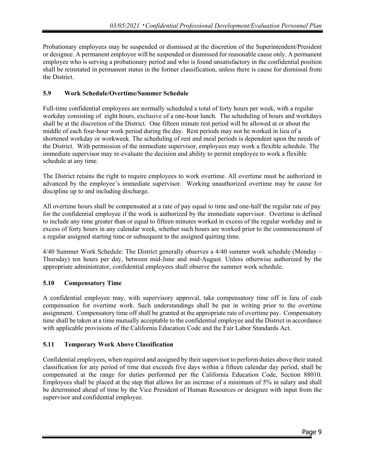Probationary employees may be suspended or dismissed at the discretion of the Superintendent/President or designee. A permanent employee will be suspended or dismissed for reasonable cause only. A permanent employee who is serving a probationary period and who is found unsatisfactory in the confidential position shall be reinstated in permanent status in the former classification, unless there is cause for dismissal from the District.

## <span id="page-8-0"></span>**5.9 Work Schedule/Overtime/Summer Schedule**

Full-time confidential employees are normally scheduled a total of forty hours per week, with a regular workday consisting of eight hours, exclusive of a one-hour lunch. The scheduling of hours and workdays shall be at the discretion of the District. One fifteen minute rest period will be allowed at or about the middle of each four-hour work period during the day. Rest periods may not be worked in lieu of a shortened workday or workweek. The scheduling of rest and meal periods is dependent upon the needs of the District. With permission of the immediate supervisor, employees may work a flexible schedule. The immediate supervisor may re-evaluate the decision and ability to permit employee to work a flexible schedule at any time.

The District retains the right to require employees to work overtime. All overtime must be authorized in advanced by the employee's immediate supervisor. Working unauthorized overtime may be cause for discipline up to and including discharge.

All overtime hours shall be compensated at a rate of pay equal to time and one-half the regular rate of pay for the confidential employee if the work is authorized by the immediate supervisor. Overtime is defined to include any time greater than or equal to fifteen minutes worked in excess of the regular workday and in excess of forty hours in any calendar week, whether such hours are worked prior to the commencement of a regular assigned starting time or subsequent to the assigned quitting time.

4/40 Summer Work Schedule: The District generally observes a 4/40 summer work schedule (Monday – Thursday) ten hours per day, between mid-June and mid-August. Unless otherwise authorized by the appropriate administrator, confidential employees shall observe the summer work schedule.

# <span id="page-8-1"></span>**5.10 Compensatory Time**

A confidential employee may, with supervisory approval, take compensatory time off in lieu of cash compensation for overtime work. Such understandings shall be put in writing prior to the overtime assignment. Compensatory time off shall be granted at the appropriate rate of overtime pay. Compensatory time shall be taken at a time mutually acceptable to the confidential employee and the District in accordance with applicable provisions of the California Education Code and the Fair Labor Standards Act.

## <span id="page-8-2"></span>**5.11 Temporary Work Above Classification**

Confidential employees, when required and assigned by their supervisor to perform duties above their stated classification for any period of time that exceeds five days within a fifteen calendar day period, shall be compensated at the range for duties performed per the California Education Code, Section 88010. Employees shall be placed at the step that allows for an increase of a minimum of 5% in salary and shall be determined ahead of time by the Vice President of Human Resources or designee with input from the supervisor and confidential employee.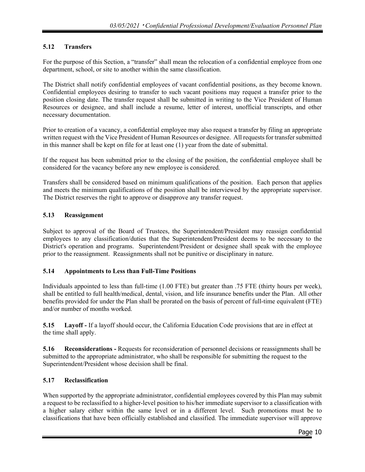## <span id="page-9-0"></span>**5.12 Transfers**

For the purpose of this Section, a "transfer" shall mean the relocation of a confidential employee from one department, school, or site to another within the same classification.

The District shall notify confidential employees of vacant confidential positions, as they become known. Confidential employees desiring to transfer to such vacant positions may request a transfer prior to the position closing date. The transfer request shall be submitted in writing to the Vice President of Human Resources or designee, and shall include a resume, letter of interest, unofficial transcripts, and other necessary documentation.

Prior to creation of a vacancy, a confidential employee may also request a transfer by filing an appropriate written request with the Vice President of Human Resources or designee. All requests for transfer submitted in this manner shall be kept on file for at least one (1) year from the date of submittal.

If the request has been submitted prior to the closing of the position, the confidential employee shall be considered for the vacancy before any new employee is considered.

Transfers shall be considered based on minimum qualifications of the position. Each person that applies and meets the minimum qualifications of the position shall be interviewed by the appropriate supervisor. The District reserves the right to approve or disapprove any transfer request.

## <span id="page-9-1"></span>**5.13 Reassignment**

Subject to approval of the Board of Trustees, the Superintendent/President may reassign confidential employees to any classification/duties that the Superintendent/President deems to be necessary to the District's operation and programs. Superintendent/President or designee shall speak with the employee prior to the reassignment. Reassignments shall not be punitive or disciplinary in nature.

## <span id="page-9-2"></span>**5.14 Appointments to Less than Full-Time Positions**

Individuals appointed to less than full-time (1.00 FTE) but greater than .75 FTE (thirty hours per week), shall be entitled to full health/medical, dental, vision, and life insurance benefits under the Plan. All other benefits provided for under the Plan shall be prorated on the basis of percent of full-time equivalent (FTE) and/or number of months worked.

<span id="page-9-3"></span>**5.15 Layoff -** If a layoff should occur, the California Education Code provisions that are in effect at the time shall apply.

<span id="page-9-4"></span>**5.16 Reconsiderations -** Requests for reconsideration of personnel decisions or reassignments shall be submitted to the appropriate administrator, who shall be responsible for submitting the request to the Superintendent/President whose decision shall be final.

## <span id="page-9-5"></span>**5.17 Reclassification**

When supported by the appropriate administrator, confidential employees covered by this Plan may submit a request to be reclassified to a higher-level position to his/her immediate supervisor to a classification with a higher salary either within the same level or in a different level. Such promotions must be to classifications that have been officially established and classified. The immediate supervisor will approve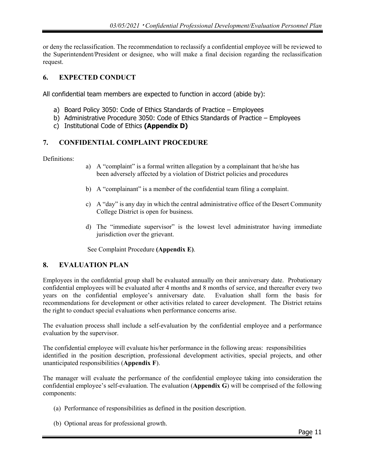or deny the reclassification. The recommendation to reclassify a confidential employee will be reviewed to the Superintendent/President or designee, who will make a final decision regarding the reclassification request.

## <span id="page-10-0"></span>**6. EXPECTED CONDUCT**

All confidential team members are expected to function in accord (abide by):

- a) Board Policy 3050: Code of Ethics Standards of Practice Employees
- b) Administrative Procedure 3050: Code of Ethics Standards of Practice Employees
- c) Institutional Code of Ethics **(Appendix D)**

## <span id="page-10-1"></span>**7. CONFIDENTIAL COMPLAINT PROCEDURE**

Definitions:

- a) A "complaint" is a formal written allegation by a complainant that he/she has been adversely affected by a violation of District policies and procedures
- b) A "complainant" is a member of the confidential team filing a complaint.
- c) A "day" is any day in which the central administrative office of the Desert Community College District is open for business.
- d) The "immediate supervisor" is the lowest level administrator having immediate jurisdiction over the grievant.

See Complaint Procedure **(Appendix E)**.

## <span id="page-10-2"></span>**8. EVALUATION PLAN**

Employees in the confidential group shall be evaluated annually on their anniversary date. Probationary confidential employees will be evaluated after 4 months and 8 months of service, and thereafter every two years on the confidential employee's anniversary date. Evaluation shall form the basis for recommendations for development or other activities related to career development. The District retains the right to conduct special evaluations when performance concerns arise.

The evaluation process shall include a self-evaluation by the confidential employee and a performance evaluation by the supervisor.

The confidential employee will evaluate his/her performance in the following areas: responsibilities identified in the position description, professional development activities, special projects, and other unanticipated responsibilities (**Appendix F**).

The manager will evaluate the performance of the confidential employee taking into consideration the confidential employee's self-evaluation. The evaluation (**Appendix G**) will be comprised of the following components:

- (a) Performance of responsibilities as defined in the position description.
- (b) Optional areas for professional growth.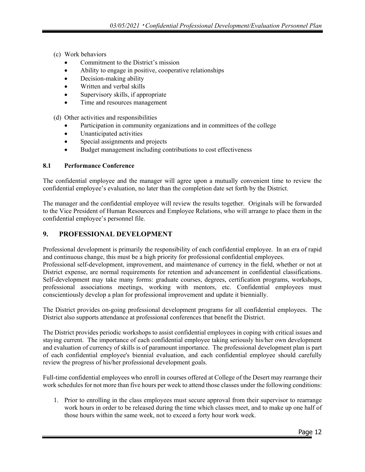- (c) Work behaviors
	- Commitment to the District's mission
	- Ability to engage in positive, cooperative relationships
	- Decision-making ability
	- Written and verbal skills
	- Supervisory skills, if appropriate
	- Time and resources management
- (d) Other activities and responsibilities
	- Participation in community organizations and in committees of the college
	- Unanticipated activities
	- Special assignments and projects
	- Budget management including contributions to cost effectiveness

#### <span id="page-11-0"></span>**8.1 Performance Conference**

The confidential employee and the manager will agree upon a mutually convenient time to review the confidential employee's evaluation, no later than the completion date set forth by the District.

The manager and the confidential employee will review the results together. Originals will be forwarded to the Vice President of Human Resources and Employee Relations, who will arrange to place them in the confidential employee's personnel file.

## <span id="page-11-1"></span>**9. PROFESSIONAL DEVELOPMENT**

Professional development is primarily the responsibility of each confidential employee. In an era of rapid and continuous change, this must be a high priority for professional confidential employees.

Professional self-development, improvement, and maintenance of currency in the field, whether or not at District expense, are normal requirements for retention and advancement in confidential classifications. Self-development may take many forms: graduate courses, degrees, certification programs, workshops, professional associations meetings, working with mentors, etc. Confidential employees must conscientiously develop a plan for professional improvement and update it biennially.

The District provides on-going professional development programs for all confidential employees. The District also supports attendance at professional conferences that benefit the District.

The District provides periodic workshops to assist confidential employees in coping with critical issues and staying current. The importance of each confidential employee taking seriously his/her own development and evaluation of currency of skills is of paramount importance. The professional development plan is part of each confidential employee's biennial evaluation, and each confidential employee should carefully review the progress of his/her professional development goals.

Full-time confidential employees who enroll in courses offered at College of the Desert may rearrange their work schedules for not more than five hours per week to attend those classes under the following conditions:

1. Prior to enrolling in the class employees must secure approval from their supervisor to rearrange work hours in order to be released during the time which classes meet, and to make up one half of those hours within the same week, not to exceed a forty hour work week.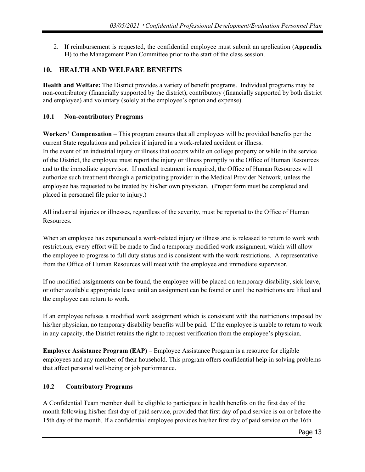2. If reimbursement is requested, the confidential employee must submit an application (**Appendix H**) to the Management Plan Committee prior to the start of the class session.

## <span id="page-12-0"></span>**10. HEALTH AND WELFARE BENEFITS**

**Health and Welfare:** The District provides a variety of benefit programs. Individual programs may be non-contributory (financially supported by the district), contributory (financially supported by both district and employee) and voluntary (solely at the employee's option and expense).

#### <span id="page-12-1"></span>**10.1 Non-contributory Programs**

**Workers' Compensation** – This program ensures that all employees will be provided benefits per the current State regulations and policies if injured in a work-related accident or illness. In the event of an industrial injury or illness that occurs while on college property or while in the service of the District, the employee must report the injury or illness promptly to the Office of Human Resources and to the immediate supervisor. If medical treatment is required, the Office of Human Resources will authorize such treatment through a participating provider in the Medical Provider Network, unless the employee has requested to be treated by his/her own physician. (Proper form must be completed and placed in personnel file prior to injury.)

All industrial injuries or illnesses, regardless of the severity, must be reported to the Office of Human Resources.

When an employee has experienced a work-related injury or illness and is released to return to work with restrictions, every effort will be made to find a temporary modified work assignment, which will allow the employee to progress to full duty status and is consistent with the work restrictions. A representative from the Office of Human Resources will meet with the employee and immediate supervisor.

If no modified assignments can be found, the employee will be placed on temporary disability, sick leave, or other available appropriate leave until an assignment can be found or until the restrictions are lifted and the employee can return to work.

If an employee refuses a modified work assignment which is consistent with the restrictions imposed by his/her physician, no temporary disability benefits will be paid. If the employee is unable to return to work in any capacity, the District retains the right to request verification from the employee's physician.

**Employee Assistance Program (EAP)** – Employee Assistance Program is a resource for eligible employees and any member of their household. This program offers confidential help in solving problems that affect personal well-being or job performance.

## <span id="page-12-2"></span>**10.2 Contributory Programs**

A Confidential Team member shall be eligible to participate in health benefits on the first day of the month following his/her first day of paid service, provided that first day of paid service is on or before the 15th day of the month. If a confidential employee provides his/her first day of paid service on the 16th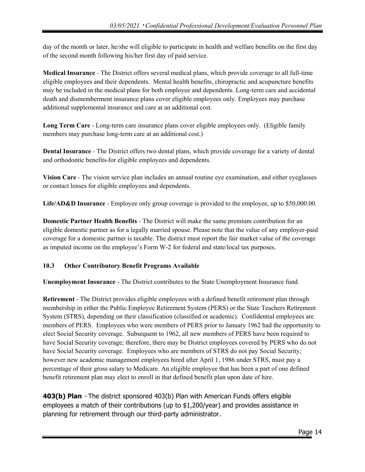day of the month or later, he/she will eligible to participate in health and welfare benefits on the first day of the second month following his/her first day of paid service.

**Medical Insurance** *-* The District offers several medical plans, which provide coverage to all full-time eligible employees and their dependents. Mental health benefits, chiropractic and acupuncture benefits may be included in the medical plans for both employee and dependents. Long-term care and accidental death and dismemberment insurance plans cover eligible employees only. Employees may purchase additional supplemental insurance and care at an additional cost.

**Long Term Care** - Long-term care insurance plans cover eligible employees only. (Eligible family members may purchase long-term care at an additional cost.)

**Dental Insurance** *-* The District offers two dental plans, which provide coverage for a variety of dental and orthodontic benefits for eligible employees and dependents.

**Vision Care** *-* The vision service plan includes an annual routine eye examination, and either eyeglasses or contact lenses for eligible employees and dependents.

**Life/AD&D Insurance** *-* Employee only group coverage is provided to the employee, up to \$50,000.00.

**Domestic Partner Health Benefits** *-* The District will make the same premium contribution for an eligible domestic partner as for a legally married spouse. Please note that the value of any employer-paid coverage for a domestic partner is taxable. The district must report the fair market value of the coverage as imputed income on the employee's Form W-2 for federal and state/local tax purposes.

# <span id="page-13-0"></span>**10.3 Other Contributory Benefit Programs Available**

**Unemployment Insurance** - The District contributes to the State Unemployment Insurance fund.

**Retirement** *-* The District provides eligible employees with a defined benefit retirement plan through membership in either the Public Employee Retirement System (PERS) or the State Teachers Retirement System (STRS), depending on their classification (classified or academic). Confidential employees are members of PERS. Employees who were members of PERS prior to January 1962 had the opportunity to elect Social Security coverage. Subsequent to 1962, all new members of PERS have been required to have Social Security coverage; therefore, there may be District employees covered by PERS who do not have Social Security coverage. Employees who are members of STRS do not pay Social Security; however new academic management employees hired after April 1, 1986 under STRS, must pay a percentage of their gross salary to Medicare. An eligible employee that has been a part of one defined benefit retirement plan may elect to enroll in that defined benefit plan upon date of hire.

**403(b) Plan** - The district sponsored 403(b) Plan with American Funds offers eligible employees a match of their contributions (up to \$1,200/year) and provides assistance in planning for retirement through our third-party administrator.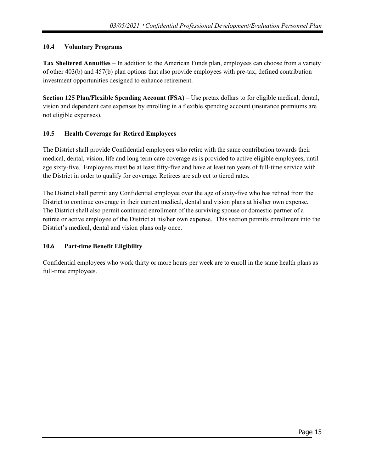## <span id="page-14-0"></span>**10.4 Voluntary Programs**

**Tax Sheltered Annuities** *–* In addition to the American Funds plan, employees can choose from a variety of other 403(b) and 457(b) plan options that also provide employees with pre-tax, defined contribution investment opportunities designed to enhance retirement.

**Section 125 Plan/Flexible Spending Account (FSA)** – Use pretax dollars to for eligible medical, dental, vision and dependent care expenses by enrolling in a flexible spending account (insurance premiums are not eligible expenses).

## <span id="page-14-1"></span>**10.5 Health Coverage for Retired Employees**

The District shall provide Confidential employees who retire with the same contribution towards their medical, dental, vision, life and long term care coverage as is provided to active eligible employees, until age sixty-five. Employees must be at least fifty-five and have at least ten years of full-time service with the District in order to qualify for coverage. Retirees are subject to tiered rates.

The District shall permit any Confidential employee over the age of sixty-five who has retired from the District to continue coverage in their current medical, dental and vision plans at his/her own expense. The District shall also permit continued enrollment of the surviving spouse or domestic partner of a retiree or active employee of the District at his/her own expense. This section permits enrollment into the District's medical, dental and vision plans only once.

## <span id="page-14-2"></span>**10.6 Part-time Benefit Eligibility**

Confidential employees who work thirty or more hours per week are to enroll in the same health plans as full-time employees.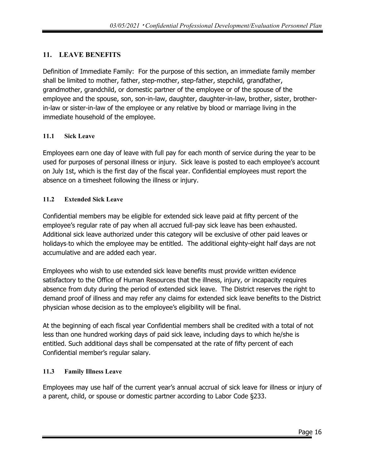# <span id="page-15-0"></span>**11. LEAVE BENEFITS**

Definition of Immediate Family: For the purpose of this section, an immediate family member shall be limited to mother, father, step-mother, step-father, stepchild, grandfather, grandmother, grandchild, or domestic partner of the employee or of the spouse of the employee and the spouse, son, son-in-law, daughter, daughter-in-law, brother, sister, brotherin-law or sister-in-law of the employee or any relative by blood or marriage living in the immediate household of the employee.

## <span id="page-15-1"></span>**11.1 Sick Leave**

Employees earn one day of leave with full pay for each month of service during the year to be used for purposes of personal illness or injury. Sick leave is posted to each employee's account on July 1st, which is the first day of the fiscal year. Confidential employees must report the absence on a timesheet following the illness or injury.

# <span id="page-15-2"></span>**11.2 Extended Sick Leave**

Confidential members may be eligible for extended sick leave paid at fifty percent of the employee's regular rate of pay when all accrued full-pay sick leave has been exhausted. Additional sick leave authorized under this category will be exclusive of other paid leaves or holidays-to which the employee may be entitled. The additional eighty-eight half days are not accumulative and are added each year.

Employees who wish to use extended sick leave benefits must provide written evidence satisfactory to the Office of Human Resources that the illness, injury, or incapacity requires absence from duty during the period of extended sick leave. The District reserves the right to demand proof of illness and may refer any claims for extended sick leave benefits to the District physician whose decision as to the employee's eligibility will be final.

At the beginning of each fiscal year Confidential members shall be credited with a total of not less than one hundred working days of paid sick leave, including days to which he/she is entitled. Such additional days shall be compensated at the rate of fifty percent of each Confidential member's regular salary.

# <span id="page-15-3"></span>**11.3 Family Illness Leave**

Employees may use half of the current year's annual accrual of sick leave for illness or injury of a parent, child, or spouse or domestic partner according to Labor Code §233.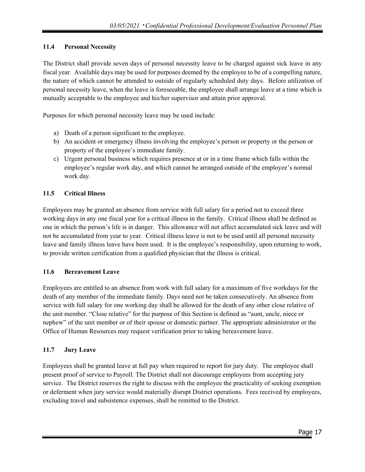## <span id="page-16-0"></span>**11.4 Personal Necessity**

The District shall provide seven days of personal necessity leave to be charged against sick leave in any fiscal year. Available days may be used for purposes deemed by the employee to be of a compelling nature, the nature of which cannot be attended to outside of regularly scheduled duty days. Before utilization of personal necessity leave, when the leave is foreseeable, the employee shall arrange leave at a time which is mutually acceptable to the employee and his/her supervisor and attain prior approval.

Purposes for which personal necessity leave may be used include:

- a) Death of a person significant to the employee.
- b) An accident or emergency illness involving the employee's person or property or the person or property of the employee's immediate family.
- c) Urgent personal business which requires presence at or in a time frame which falls within the employee's regular work day, and which cannot be arranged outside of the employee's normal work day.

## <span id="page-16-1"></span>**11.5 Critical Illness**

Employees may be granted an absence from service with full salary for a period not to exceed three working days in any one fiscal year for a critical illness in the family. Critical illness shall be defined as one in which the person's life is in danger. This allowance will not affect accumulated sick leave and will not be accumulated from year to year. Critical illness leave is not to be used until all personal necessity leave and family illness leave have been used. It is the employee's responsibility, upon returning to work, to provide written certification from a qualified physician that the illness is critical.

## <span id="page-16-2"></span>**11.6 Bereavement Leave**

Employees are entitled to an absence from work with full salary for a maximum of five workdays for the death of any member of the immediate family. Days need not be taken consecutively. An absence from service with full salary for one working day shall be allowed for the death of any other close relative of the unit member. "Close relative" for the purpose of this Section is defined as "aunt, uncle, niece or nephew" of the unit member or of their spouse or domestic partner. The appropriate administrator or the Office of Human Resources may request verification prior to taking bereavement leave.

## <span id="page-16-3"></span>**11.7 Jury Leave**

Employees shall be granted leave at full pay when required to report for jury duty. The employee shall present proof of service to Payroll. The District shall not discourage employees from accepting jury service. The District reserves the right to discuss with the employee the practicality of seeking exemption or deferment when jury service would materially disrupt District operations. Fees received by employees, excluding travel and subsistence expenses, shall be remitted to the District.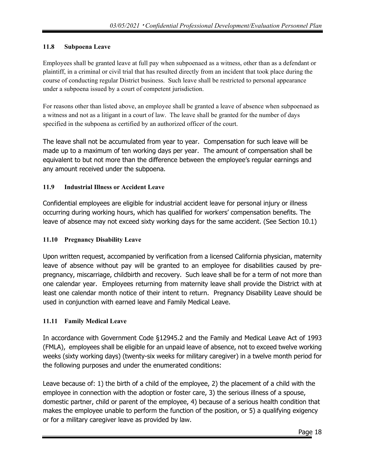## <span id="page-17-0"></span>**11.8 Subpoena Leave**

Employees shall be granted leave at full pay when subpoenaed as a witness, other than as a defendant or plaintiff, in a criminal or civil trial that has resulted directly from an incident that took place during the course of conducting regular District business. Such leave shall be restricted to personal appearance under a subpoena issued by a court of competent jurisdiction.

For reasons other than listed above, an employee shall be granted a leave of absence when subpoenaed as a witness and not as a litigant in a court of law. The leave shall be granted for the number of days specified in the subpoena as certified by an authorized officer of the court.

The leave shall not be accumulated from year to year. Compensation for such leave will be made up to a maximum of ten working days per year. The amount of compensation shall be equivalent to but not more than the difference between the employee's regular earnings and any amount received under the subpoena.

# <span id="page-17-1"></span>**11.9 Industrial Illness or Accident Leave**

Confidential employees are eligible for industrial accident leave for personal injury or illness occurring during working hours, which has qualified for workers' compensation benefits. The leave of absence may not exceed sixty working days for the same accident. (See Section 10.1)

# <span id="page-17-2"></span>**11.10 Pregnancy Disability Leave**

Upon written request, accompanied by verification from a licensed California physician, maternity leave of absence without pay will be granted to an employee for disabilities caused by prepregnancy, miscarriage, childbirth and recovery. Such leave shall be for a term of not more than one calendar year. Employees returning from maternity leave shall provide the District with at least one calendar month notice of their intent to return. Pregnancy Disability Leave should be used in conjunction with earned leave and Family Medical Leave.

# <span id="page-17-3"></span>**11.11 Family Medical Leave**

In accordance with Government Code §12945.2 and the Family and Medical Leave Act of 1993 (FMLA), employees shall be eligible for an unpaid leave of absence, not to exceed twelve working weeks (sixty working days) (twenty-six weeks for military caregiver) in a twelve month period for the following purposes and under the enumerated conditions:

Leave because of: 1) the birth of a child of the employee, 2) the placement of a child with the employee in connection with the adoption or foster care, 3) the serious illness of a spouse, domestic partner, child or parent of the employee, 4) because of a serious health condition that makes the employee unable to perform the function of the position, or 5) a qualifying exigency or for a military caregiver leave as provided by law.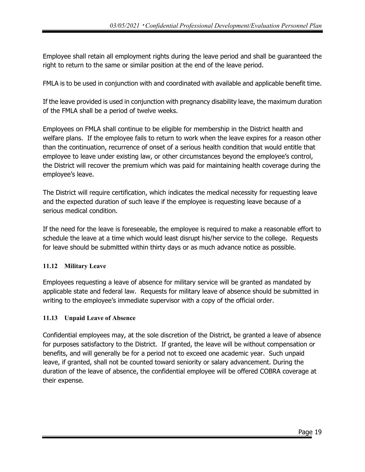Employee shall retain all employment rights during the leave period and shall be guaranteed the right to return to the same or similar position at the end of the leave period.

FMLA is to be used in conjunction with and coordinated with available and applicable benefit time.

If the leave provided is used in conjunction with pregnancy disability leave, the maximum duration of the FMLA shall be a period of twelve weeks.

Employees on FMLA shall continue to be eligible for membership in the District health and welfare plans. If the employee fails to return to work when the leave expires for a reason other than the continuation, recurrence of onset of a serious health condition that would entitle that employee to leave under existing law, or other circumstances beyond the employee's control, the District will recover the premium which was paid for maintaining health coverage during the employee's leave.

The District will require certification, which indicates the medical necessity for requesting leave and the expected duration of such leave if the employee is requesting leave because of a serious medical condition.

If the need for the leave is foreseeable, the employee is required to make a reasonable effort to schedule the leave at a time which would least disrupt his/her service to the college. Requests for leave should be submitted within thirty days or as much advance notice as possible.

## <span id="page-18-0"></span>**11.12 Military Leave**

Employees requesting a leave of absence for military service will be granted as mandated by applicable state and federal law. Requests for military leave of absence should be submitted in writing to the employee's immediate supervisor with a copy of the official order.

## <span id="page-18-1"></span>**11.13 Unpaid Leave of Absence**

Confidential employees may, at the sole discretion of the District, be granted a leave of absence for purposes satisfactory to the District. If granted, the leave will be without compensation or benefits, and will generally be for a period not to exceed one academic year. Such unpaid leave, if granted, shall not be counted toward seniority or salary advancement. During the duration of the leave of absence, the confidential employee will be offered COBRA coverage at their expense.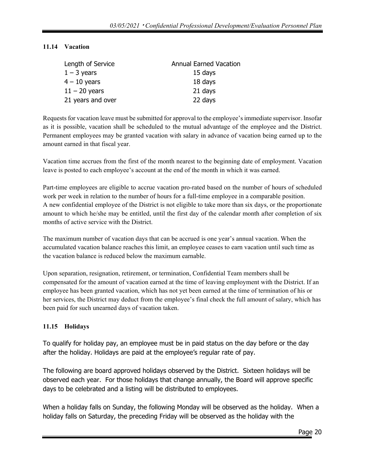## <span id="page-19-0"></span>**11.14 Vacation**

| Length of Service | <b>Annual Earned Vacation</b> |
|-------------------|-------------------------------|
| $1 - 3$ years     | 15 days                       |
| $4 - 10$ years    | 18 days                       |
| $11 - 20$ years   | 21 days                       |
| 21 years and over | 22 days                       |

Requests for vacation leave must be submitted for approval to the employee's immediate supervisor. Insofar as it is possible, vacation shall be scheduled to the mutual advantage of the employee and the District. Permanent employees may be granted vacation with salary in advance of vacation being earned up to the amount earned in that fiscal year.

Vacation time accrues from the first of the month nearest to the beginning date of employment. Vacation leave is posted to each employee's account at the end of the month in which it was earned.

Part-time employees are eligible to accrue vacation pro-rated based on the number of hours of scheduled work per week in relation to the number of hours for a full-time employee in a comparable position. A new confidential employee of the District is not eligible to take more than six days, or the proportionate amount to which he/she may be entitled, until the first day of the calendar month after completion of six months of active service with the District.

The maximum number of vacation days that can be accrued is one year's annual vacation. When the accumulated vacation balance reaches this limit, an employee ceases to earn vacation until such time as the vacation balance is reduced below the maximum earnable.

Upon separation, resignation, retirement, or termination, Confidential Team members shall be compensated for the amount of vacation earned at the time of leaving employment with the District. If an employee has been granted vacation, which has not yet been earned at the time of termination of his or her services, the District may deduct from the employee's final check the full amount of salary, which has been paid for such unearned days of vacation taken.

## <span id="page-19-1"></span>**11.15 Holidays**

To qualify for holiday pay, an employee must be in paid status on the day before or the day after the holiday. Holidays are paid at the employee's regular rate of pay.

The following are board approved holidays observed by the District. Sixteen holidays will be observed each year. For those holidays that change annually, the Board will approve specific days to be celebrated and a listing will be distributed to employees.

When a holiday falls on Sunday, the following Monday will be observed as the holiday. When a holiday falls on Saturday, the preceding Friday will be observed as the holiday with the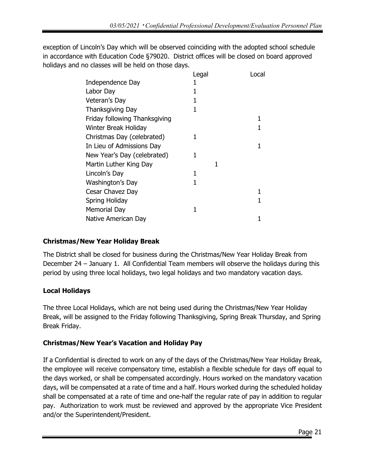exception of Lincoln's Day which will be observed coinciding with the adopted school schedule in accordance with Education Code §79020. District offices will be closed on board approved holidays and no classes will be held on those days.

|                               | Legal | Local |
|-------------------------------|-------|-------|
| Independence Day              |       |       |
| Labor Day                     |       |       |
| Veteran's Day                 |       |       |
| Thanksgiving Day              |       |       |
| Friday following Thanksgiving |       |       |
| Winter Break Holiday          |       |       |
| Christmas Day (celebrated)    | 1     |       |
| In Lieu of Admissions Day     |       |       |
| New Year's Day (celebrated)   | 1     |       |
| Martin Luther King Day        | 1     |       |
| Lincoln's Day                 | 1     |       |
| Washington's Day              |       |       |
| Cesar Chavez Day              |       |       |
| Spring Holiday                |       |       |
| <b>Memorial Day</b>           | 1     |       |
| Native American Day           |       |       |

# **Christmas/New Year Holiday Break**

The District shall be closed for business during the Christmas/New Year Holiday Break from December 24 – January 1. All Confidential Team members will observe the holidays during this period by using three local holidays, two legal holidays and two mandatory vacation days.

# **Local Holidays**

The three Local Holidays, which are not being used during the Christmas/New Year Holiday Break, will be assigned to the Friday following Thanksgiving, Spring Break Thursday, and Spring Break Friday.

# **Christmas/New Year's Vacation and Holiday Pay**

If a Confidential is directed to work on any of the days of the Christmas/New Year Holiday Break, the employee will receive compensatory time, establish a flexible schedule for days off equal to the days worked, or shall be compensated accordingly. Hours worked on the mandatory vacation days, will be compensated at a rate of time and a half. Hours worked during the scheduled holiday shall be compensated at a rate of time and one-half the regular rate of pay in addition to regular pay. Authorization to work must be reviewed and approved by the appropriate Vice President and/or the Superintendent/President.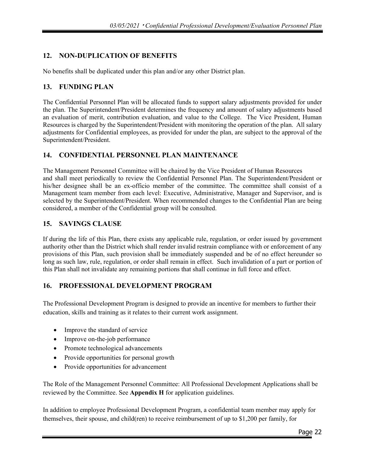# <span id="page-21-0"></span>**12. NON-DUPLICATION OF BENEFITS**

No benefits shall be duplicated under this plan and/or any other District plan.

## <span id="page-21-1"></span>**13. FUNDING PLAN**

The Confidential Personnel Plan will be allocated funds to support salary adjustments provided for under the plan. The Superintendent/President determines the frequency and amount of salary adjustments based an evaluation of merit, contribution evaluation, and value to the College. The Vice President, Human Resources is charged by the Superintendent/President with monitoring the operation of the plan. All salary adjustments for Confidential employees, as provided for under the plan, are subject to the approval of the Superintendent/President.

## <span id="page-21-2"></span>**14. CONFIDENTIAL PERSONNEL PLAN MAINTENANCE**

The Management Personnel Committee will be chaired by the Vice President of Human Resources and shall meet periodically to review the Confidential Personnel Plan. The Superintendent/President or his/her designee shall be an ex-officio member of the committee. The committee shall consist of a Management team member from each level: Executive, Administrative, Manager and Supervisor, and is selected by the Superintendent/President. When recommended changes to the Confidential Plan are being considered, a member of the Confidential group will be consulted.

## <span id="page-21-3"></span>**15. SAVINGS CLAUSE**

If during the life of this Plan, there exists any applicable rule, regulation, or order issued by government authority other than the District which shall render invalid restrain compliance with or enforcement of any provisions of this Plan, such provision shall be immediately suspended and be of no effect hereunder so long as such law, rule, regulation, or order shall remain in effect. Such invalidation of a part or portion of this Plan shall not invalidate any remaining portions that shall continue in full force and effect.

## **16. PROFESSIONAL DEVELOPMENT PROGRAM**

The Professional Development Program is designed to provide an incentive for members to further their education, skills and training as it relates to their current work assignment.

- Improve the standard of service
- Improve on-the-job performance
- Promote technological advancements
- Provide opportunities for personal growth
- Provide opportunities for advancement

The Role of the Management Personnel Committee: All Professional Development Applications shall be reviewed by the Committee. See **Appendix H** for application guidelines.

In addition to employee Professional Development Program, a confidential team member may apply for themselves, their spouse, and child(ren) to receive reimbursement of up to \$1,200 per family, for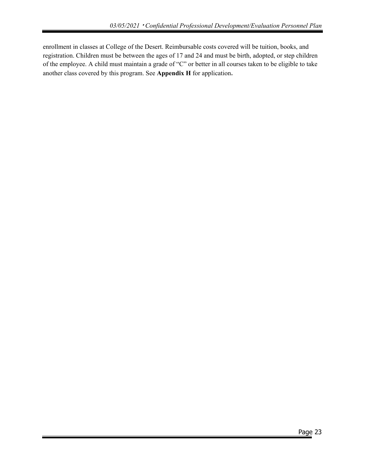enrollment in classes at College of the Desert. Reimbursable costs covered will be tuition, books, and registration. Children must be between the ages of 17 and 24 and must be birth, adopted, or step children of the employee. A child must maintain a grade of "C" or better in all courses taken to be eligible to take another class covered by this program. See **Appendix H** for application.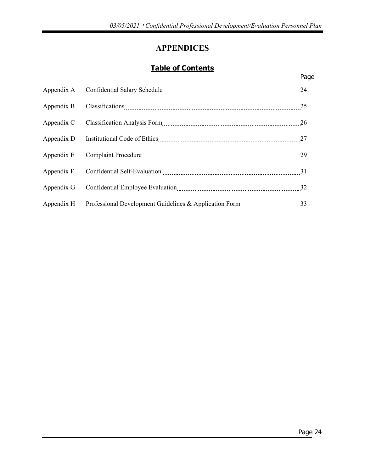# **APPENDICES**

# **Table of Contents**

<span id="page-23-0"></span>

|            | Page |
|------------|------|
| Appendix A | 24   |
| Appendix B |      |
| Appendix C | 26   |
| Appendix D |      |
| Appendix E |      |
| Appendix F | 31   |
| Appendix G | 32   |
| Appendix H | 33   |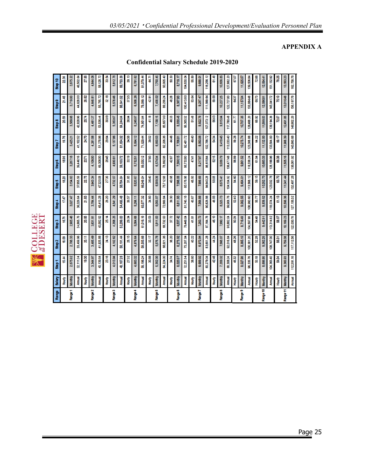**SOLLEGE**<br>**COLLEGE** ₹

| <b>Range</b> | Salary         | Step <sup>1</sup> | Step 2     | Step 3       | Step 4      | Step 5       | Step6        | Step 7       | Step 8     | Step 9     | Step 10       |
|--------------|----------------|-------------------|------------|--------------|-------------|--------------|--------------|--------------|------------|------------|---------------|
|              | 全<br>全         | 15.44             | 16.09      | 16.76        | 17.47       | 18.20        | 18,96        | 19.76        | 20.59      | 21.46      | 22.36         |
| Range 1      | Monthly        | 2,675.92          | 2,788.33   | 2,905.48     | 3,027.47    | 3,154.63     | 3,287.18     | 3,425.21     | 3,569.08   | 3,719.00   | 3,875.22      |
|              | <b>Annual</b>  | 32,111.04         | 33,459.96  | 34,865.76    | 36,329.64   | 37,855.56    | 39,446.16    | 41,102.52    | 42,828.96  | 44,628.00  | 46,502.64     |
|              | 全<br>全         | 19.30             | 20.11      | 20.95        | 21.83       | 22.75        | 23.71        | 24.70        | 25.74      | 26.82      | 27.85         |
| Range 2      | Monthly        | 3,344.97          | 3,485.49   | 3,631.91     | 3,784.44    | 3,943.34     | 4,109.00     | 4,281.58     | 4,461.37   | 4,648.81   | 4,844.06      |
|              | Annual         | 40,139.64         | 41,825.88  | 43,582.92    | 45,413.28   | 47,320.08    | 49,308.00    | 51,378.96    | 53,536.44  | 55,785.72  | 58,128.72     |
|              | 全<br>全         | 23.16             | 24.13      | 25.14        | 26.20       | 27.30        | 28.45        | 29.64        | 30.89      | 32.18      | 33.54         |
| Range 3      | Monthly        | 4,013.94          | 4,182.62   | 4,358.25     | 4,541.29    | 4,732.07     | 4,930.81     | 5,137.86     | 5,353,67   | 5,578.46   | 5,812.78      |
|              | Annual         | 18,16728          | 50,191.44  | 52,299.00    | 54,495.48   | 56,784.84    | 59,169.72    | 61,654.32    | 64,244.04  | 66,941.52  | 69,753.36     |
|              | 全<br>全         | 27.02             | 28.15      | 29.34        | 30.57       | 31.85        | 33.19        | <b>34.58</b> | 36.04      | 37.55      | 39.TE         |
| Range 4      | Monthly        | 4,683.02          | 4,879.64   | 5,084.68     | 5,298.11    | 5,520.67     | 5,752.51     | 5,994.12     | 6,245.97   | 6,508.26   | 6,781.62      |
|              | Annual         | 56,196.24         | 58,555.68  | 61,016.16    | 63,577.32   | 66,248.04    | 69,030.12    | 71,929.44    | 74,951.64  | 78,099.12  | 81,379.44     |
|              | <b>Four</b>    | 30.88             | 32.17      | 33.53        | 34.93       | 36.40        | 37.93        | 39.52        | 41.18      | 42.91      | 47            |
| Range 5      | <b>Monthly</b> | 5,352.00          | 5,576.78   | 5,811.00     | 6,055.07    | 6,309.39     | 6,574.34     | 6,850.53     | 7,138.15   | 7,438.02   | 7,750.45      |
|              | Annual         | 64,224.00         | 66,921.36  | 69,732.00    | 72,660.84   | 75,712.68    | 78,892.08    | 82,206.36    | 85,657.80  | 89,256.24  | 93,005.40     |
|              | 全<br>全         | 34.74             | 36.20      | 37.72        | 39.30       | 40.95        | 42.67        | 44.46        | 46.33      | 48.28      | 50.30         |
| Range 6      | Monthly        | 6,020.97          | 6,273.92   | 6,537.42     | 6,811.93    | 7,098.08     | 7,396.15     | 7,706.81     | 8,030.46   | 8,367.80   | 8,719.17      |
|              | <b>Annual</b>  | 72,251.64         | 75,287.04  | 78,449.04    | 81,743.16   | 85,176.96    | 88,753.80    | 92,481.72    | 36,365,52  | 100,413.60 | 104,630.04    |
|              | <b>全</b>       | 38.60             | 40.22      | 41.91        | 43.67       | 45.50        | 47.41        | 49.40        | \$1.48     | 53.64      | <b>55.8</b>   |
| Range 7      | <b>Monthly</b> | 6,689.92          | 970.94     | 7,263.73     | 568.88      | 7,886,69     | 8,217.97     | 8,563.06     | 8,922.76   | 9,297.47   | 9,688.01      |
|              | <b>Annual</b>  | <b>BO,279.04</b>  | 83,651.28  | 87,164.76    | 90,826.56   | 94,640.28    | 98,615.64    | 02,756.72    | 07,073.12  | 111,569.64 | 116,256.12    |
|              | 全<br>全         | 42.46             | 44.24      | 46.10        | 48.03       | 50.05        | 52.15        | र्जु<br>ऊ    | 56.63      | 59.00      | $\frac{4}{5}$ |
| Range 8      | Monthly        | 7,359.02          | 7,668.07   | 7,990.17     | 8,325.73    | 8,675.41     | 9,039.79     | 9,419.45     | 9,815.04   | 10,227.25  | 10,656.85     |
|              | <b>Annual</b>  | 88,308.24         | 92,016.84  | 95,882.04    | 99,908.76   | 04,104.92    | 108,477.48   | 113,033.40   | 117,780.48 | 122,727.00 | 127,882.20    |
|              | <b>全</b>       | 46.32             | 48.26      | 50.29        | 52.40       | <b>SE 35</b> | 56.89        | 59.28        | 61.77      | 64.37      | 67.07         |
| Range 9      | <b>Monthly</b> | 8,027.98          | 8,365.10   | 8,716.49     | 9,082.55    | 9,464.01     | 9,861.52     | 10,275.74    | 10,707.35  | 11,157.04  | 11,625.57     |
|              | Annual         | 96,335.76         | 100,381.20 | 597.88<br>ड  | 108,990.60  | 13,568.12    | 118,338.24   | 123,308.88   | 128,488 20 | 133,884.48 | 139,506.84    |
|              | <b>Foury</b>   | 50.18             | 52.28      | <b>SA 48</b> | 58.77       | 59.15        | 61.64        | 84.22        | 66.92      | 69.73      | 72.66         |
| tange 10     | <b>Monthly</b> | 8,696.95          | 9,062.25   | 9,442.91     | 9,839.52    | 10,252.73    | 10,683.33    | 11,132.00    | 11,599.53  | 12,086.81  | 12,594.41     |
|              | Annual         | 04,363,40         | 08,747.00  | 113,314.92   | 118,074.24  | 123,032.76   | 128,199.96   | 133,584.00   | 139,194.36 | 145,041.72 | 151,132.92    |
|              | Hourly         | <b>S4.04</b>      | 56.31      | 58.67        | 61.13       | 63.70        | <b>66.38</b> | 69.17        | 72.07      | 75.10      | 78.25         |
| Range 11     | <b>Monthly</b> | 9,365.93          | 9,759.38   | 10,169.23    | 10,596.36   | 11,041.44    | 11,505.16    | 11,988.39    | 12,491.85  | 13,016.48  | 13,563.23     |
|              | <b>Annual</b>  | 112,391.16        | 117,112.56 | 122,030.76   | 127, 156.32 | 132,497.28   | 138,061.92   | 143,860.68   | 149,902.20 | 156,197.76 | 162,758.76    |

**Confidential Salary Schedule 2019-2020**

#### *03/05/2021* · *Confidential Professional Development/Evaluation Personnel Plan*

# **APPENDIX A**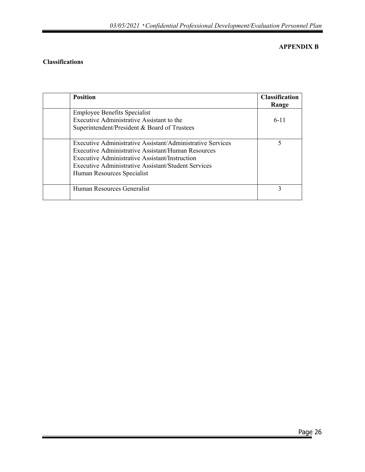## **APPENDIX B**

## **Classifications**

| <b>Position</b>                                                                                                                                                                                                                                         | <b>Classification</b><br>Range |
|---------------------------------------------------------------------------------------------------------------------------------------------------------------------------------------------------------------------------------------------------------|--------------------------------|
| <b>Employee Benefits Specialist</b><br>Executive Administrative Assistant to the<br>Superintendent/President & Board of Trustees                                                                                                                        | $6 - 11$                       |
| Executive Administrative Assistant/Administrative Services<br>Executive Administrative Assistant/Human Resources<br>Executive Administrative Assistant/Instruction<br>Executive Administrative Assistant/Student Services<br>Human Resources Specialist | 5                              |
| Human Resources Generalist                                                                                                                                                                                                                              | 3                              |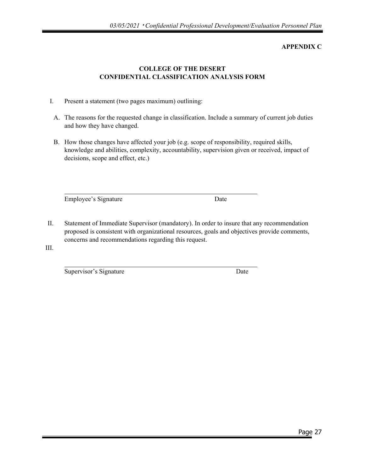#### **APPENDIX C**

## **COLLEGE OF THE DESERT CONFIDENTIAL CLASSIFICATION ANALYSIS FORM**

- I. Present a statement (two pages maximum) outlining:
	- A. The reasons for the requested change in classification. Include a summary of current job duties and how they have changed.
	- B. How those changes have affected your job (e.g. scope of responsibility, required skills, knowledge and abilities, complexity, accountability, supervision given or received, impact of decisions, scope and effect, etc.)

Employee's Signature Date

II. Statement of Immediate Supervisor (mandatory). In order to insure that any recommendation proposed is consistent with organizational resources, goals and objectives provide comments, concerns and recommendations regarding this request.

III.

Supervisor's Signature Date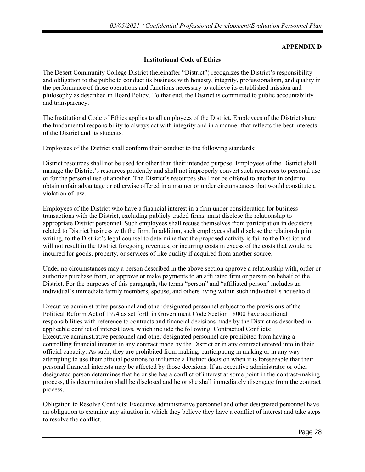#### **APPENDIX D**

#### **Institutional Code of Ethics**

The Desert Community College District (hereinafter "District") recognizes the District's responsibility and obligation to the public to conduct its business with honesty, integrity, professionalism, and quality in the performance of those operations and functions necessary to achieve its established mission and philosophy as described in Board Policy. To that end, the District is committed to public accountability and transparency.

The Institutional Code of Ethics applies to all employees of the District. Employees of the District share the fundamental responsibility to always act with integrity and in a manner that reflects the best interests of the District and its students.

Employees of the District shall conform their conduct to the following standards:

District resources shall not be used for other than their intended purpose. Employees of the District shall manage the District's resources prudently and shall not improperly convert such resources to personal use or for the personal use of another. The District's resources shall not be offered to another in order to obtain unfair advantage or otherwise offered in a manner or under circumstances that would constitute a violation of law.

Employees of the District who have a financial interest in a firm under consideration for business transactions with the District, excluding publicly traded firms, must disclose the relationship to appropriate District personnel. Such employees shall recuse themselves from participation in decisions related to District business with the firm. In addition, such employees shall disclose the relationship in writing, to the District's legal counsel to determine that the proposed activity is fair to the District and will not result in the District foregoing revenues, or incurring costs in excess of the costs that would be incurred for goods, property, or services of like quality if acquired from another source.

Under no circumstances may a person described in the above section approve a relationship with, order or authorize purchase from, or approve or make payments to an affiliated firm or person on behalf of the District. For the purposes of this paragraph, the terms "person" and "affiliated person" includes an individual's immediate family members, spouse, and others living within such individual's household.

Executive administrative personnel and other designated personnel subject to the provisions of the Political Reform Act of 1974 as set forth in Government Code Section 18000 have additional responsibilities with reference to contracts and financial decisions made by the District as described in applicable conflict of interest laws, which include the following: Contractual Conflicts: Executive administrative personnel and other designated personnel are prohibited from having a controlling financial interest in any contract made by the District or in any contract entered into in their official capacity. As such, they are prohibited from making, participating in making or in any way attempting to use their official positions to influence a District decision when it is foreseeable that their personal financial interests may be affected by those decisions. If an executive administrator or other designated person determines that he or she has a conflict of interest at some point in the contract-making process, this determination shall be disclosed and he or she shall immediately disengage from the contract process.

Obligation to Resolve Conflicts: Executive administrative personnel and other designated personnel have an obligation to examine any situation in which they believe they have a conflict of interest and take steps to resolve the conflict.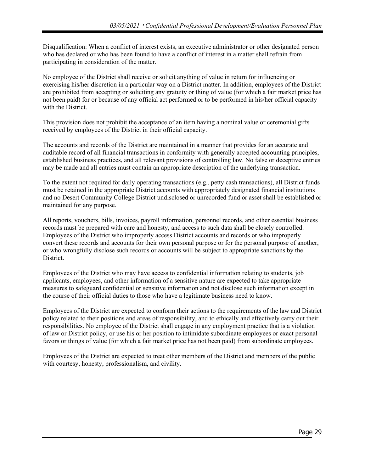Disqualification: When a conflict of interest exists, an executive administrator or other designated person who has declared or who has been found to have a conflict of interest in a matter shall refrain from participating in consideration of the matter.

No employee of the District shall receive or solicit anything of value in return for influencing or exercising his/her discretion in a particular way on a District matter. In addition, employees of the District are prohibited from accepting or soliciting any gratuity or thing of value (for which a fair market price has not been paid) for or because of any official act performed or to be performed in his/her official capacity with the District.

This provision does not prohibit the acceptance of an item having a nominal value or ceremonial gifts received by employees of the District in their official capacity.

The accounts and records of the District are maintained in a manner that provides for an accurate and auditable record of all financial transactions in conformity with generally accepted accounting principles, established business practices, and all relevant provisions of controlling law. No false or deceptive entries may be made and all entries must contain an appropriate description of the underlying transaction.

To the extent not required for daily operating transactions (e.g., petty cash transactions), all District funds must be retained in the appropriate District accounts with appropriately designated financial institutions and no Desert Community College District undisclosed or unrecorded fund or asset shall be established or maintained for any purpose.

All reports, vouchers, bills, invoices, payroll information, personnel records, and other essential business records must be prepared with care and honesty, and access to such data shall be closely controlled. Employees of the District who improperly access District accounts and records or who improperly convert these records and accounts for their own personal purpose or for the personal purpose of another, or who wrongfully disclose such records or accounts will be subject to appropriate sanctions by the District.

Employees of the District who may have access to confidential information relating to students, job applicants, employees, and other information of a sensitive nature are expected to take appropriate measures to safeguard confidential or sensitive information and not disclose such information except in the course of their official duties to those who have a legitimate business need to know.

Employees of the District are expected to conform their actions to the requirements of the law and District policy related to their positions and areas of responsibility, and to ethically and effectively carry out their responsibilities. No employee of the District shall engage in any employment practice that is a violation of law or District policy, or use his or her position to intimidate subordinate employees or exact personal favors or things of value (for which a fair market price has not been paid) from subordinate employees.

Employees of the District are expected to treat other members of the District and members of the public with courtesy, honesty, professionalism, and civility.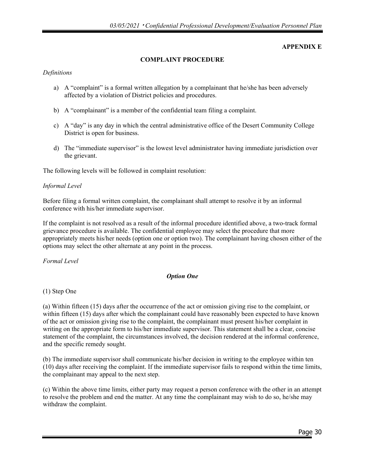#### **APPENDIX E**

#### **COMPLAINT PROCEDURE**

#### *Definitions*

- a) A "complaint" is a formal written allegation by a complainant that he/she has been adversely affected by a violation of District policies and procedures.
- b) A "complainant" is a member of the confidential team filing a complaint.
- c) A "day" is any day in which the central administrative office of the Desert Community College District is open for business.
- d) The "immediate supervisor" is the lowest level administrator having immediate jurisdiction over the grievant.

The following levels will be followed in complaint resolution:

#### *Informal Level*

Before filing a formal written complaint, the complainant shall attempt to resolve it by an informal conference with his/her immediate supervisor.

If the complaint is not resolved as a result of the informal procedure identified above, a two-track formal grievance procedure is available. The confidential employee may select the procedure that more appropriately meets his/her needs (option one or option two). The complainant having chosen either of the options may select the other alternate at any point in the process.

#### *Formal Level*

#### *Option One*

#### (1) Step One

(a) Within fifteen (15) days after the occurrence of the act or omission giving rise to the complaint, or within fifteen (15) days after which the complainant could have reasonably been expected to have known of the act or omission giving rise to the complaint, the complainant must present his/her complaint in writing on the appropriate form to his/her immediate supervisor. This statement shall be a clear, concise statement of the complaint, the circumstances involved, the decision rendered at the informal conference, and the specific remedy sought.

(b) The immediate supervisor shall communicate his/her decision in writing to the employee within ten (10) days after receiving the complaint. If the immediate supervisor fails to respond within the time limits, the complainant may appeal to the next step.

(c) Within the above time limits, either party may request a person conference with the other in an attempt to resolve the problem and end the matter. At any time the complainant may wish to do so, he/she may withdraw the complaint.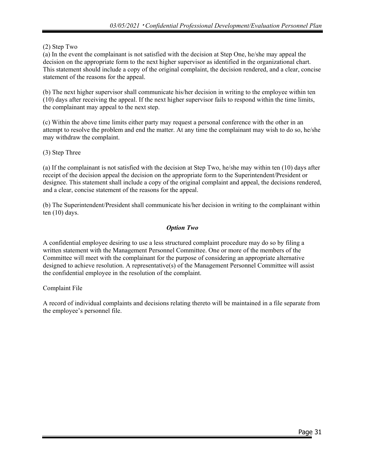## (2) Step Two

(a) In the event the complainant is not satisfied with the decision at Step One, he/she may appeal the decision on the appropriate form to the next higher supervisor as identified in the organizational chart. This statement should include a copy of the original complaint, the decision rendered, and a clear, concise statement of the reasons for the appeal.

(b) The next higher supervisor shall communicate his/her decision in writing to the employee within ten (10) days after receiving the appeal. If the next higher supervisor fails to respond within the time limits, the complainant may appeal to the next step.

(c) Within the above time limits either party may request a personal conference with the other in an attempt to resolve the problem and end the matter. At any time the complainant may wish to do so, he/she may withdraw the complaint.

(3) Step Three

(a) If the complainant is not satisfied with the decision at Step Two, he/she may within ten (10) days after receipt of the decision appeal the decision on the appropriate form to the Superintendent/President or designee. This statement shall include a copy of the original complaint and appeal, the decisions rendered, and a clear, concise statement of the reasons for the appeal.

(b) The Superintendent/President shall communicate his/her decision in writing to the complainant within ten (10) days.

## *Option Two*

A confidential employee desiring to use a less structured complaint procedure may do so by filing a written statement with the Management Personnel Committee. One or more of the members of the Committee will meet with the complainant for the purpose of considering an appropriate alternative designed to achieve resolution. A representative(s) of the Management Personnel Committee will assist the confidential employee in the resolution of the complaint.

#### Complaint File

A record of individual complaints and decisions relating thereto will be maintained in a file separate from the employee's personnel file.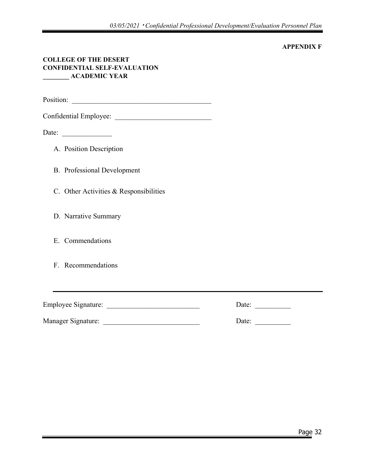#### **APPENDIX F**

#### **COLLEGE OF THE DESERT CONFIDENTIAL SELF-EVALUATION \_\_\_\_\_\_\_\_ ACADEMIC YEAR**

Position: \_\_\_\_\_\_\_\_\_\_\_\_\_\_\_\_\_\_\_\_\_\_\_\_\_\_\_\_\_\_\_\_\_\_\_\_\_\_\_

Confidential Employee:

Date: \_\_\_\_\_\_\_\_\_\_\_\_\_\_

- A. Position Description
- B. Professional Development
- C. Other Activities & Responsibilities
- D. Narrative Summary
- E. Commendations
- F. Recommendations

Employee Signature: \_\_\_\_\_\_\_\_\_\_\_\_\_\_\_\_\_\_\_\_\_\_\_\_\_\_ Date: \_\_\_\_\_\_\_\_\_\_

Manager Signature: <br>
Date: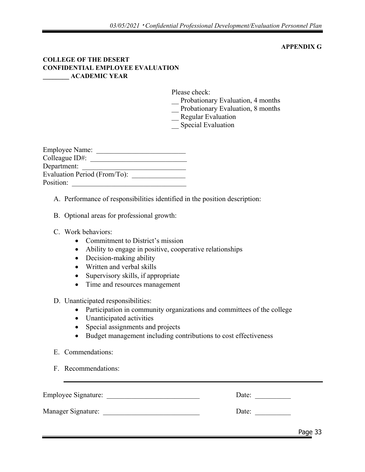#### **APPENDIX G**

#### **COLLEGE OF THE DESERT CONFIDENTIAL EMPLOYEE EVALUATION \_\_\_\_\_\_\_\_ ACADEMIC YEAR**

Please check:

- Probationary Evaluation, 4 months
- Probationary Evaluation, 8 months
- Regular Evaluation
- \_\_ Special Evaluation

| <b>Employee Name:</b>        |  |  |  |  |  |
|------------------------------|--|--|--|--|--|
| Colleague ID#:               |  |  |  |  |  |
| Department:                  |  |  |  |  |  |
| Evaluation Period (From/To): |  |  |  |  |  |
| Position:                    |  |  |  |  |  |

A. Performance of responsibilities identified in the position description:

- B. Optional areas for professional growth:
- C. Work behaviors:
	- Commitment to District's mission
	- Ability to engage in positive, cooperative relationships
	- Decision-making ability
	- Written and verbal skills
	- Supervisory skills, if appropriate
	- Time and resources management

#### D. Unanticipated responsibilities:

- Participation in community organizations and committees of the college
- Unanticipated activities
- Special assignments and projects
- Budget management including contributions to cost effectiveness
- E. Commendations:
- F. Recommendations:

| <b>Employee Signature:</b> | Date: |  |
|----------------------------|-------|--|
| Manager Signature:         | Date: |  |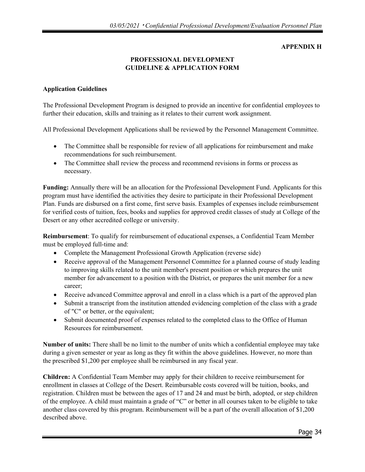#### **APPENDIX H**

## **PROFESSIONAL DEVELOPMENT GUIDELINE & APPLICATION FORM**

#### **Application Guidelines**

The Professional Development Program is designed to provide an incentive for confidential employees to further their education, skills and training as it relates to their current work assignment.

All Professional Development Applications shall be reviewed by the Personnel Management Committee.

- The Committee shall be responsible for review of all applications for reimbursement and make recommendations for such reimbursement.
- The Committee shall review the process and recommend revisions in forms or process as necessary.

**Funding:** Annually there will be an allocation for the Professional Development Fund. Applicants for this program must have identified the activities they desire to participate in their Professional Development Plan. Funds are disbursed on a first come, first serve basis. Examples of expenses include reimbursement for verified costs of tuition, fees, books and supplies for approved credit classes of study at College of the Desert or any other accredited college or university.

**Reimbursement**: To qualify for reimbursement of educational expenses, a Confidential Team Member must be employed full-time and:

- Complete the Management Professional Growth Application (reverse side)
- Receive approval of the Management Personnel Committee for a planned course of study leading to improving skills related to the unit member's present position or which prepares the unit member for advancement to a position with the District, or prepares the unit member for a new career;
- Receive advanced Committee approval and enroll in a class which is a part of the approved plan
- Submit a transcript from the institution attended evidencing completion of the class with a grade of "C" or better, or the equivalent;
- Submit documented proof of expenses related to the completed class to the Office of Human Resources for reimbursement.

**Number of units:** There shall be no limit to the number of units which a confidential employee may take during a given semester or year as long as they fit within the above guidelines. However, no more than the prescribed \$1,200 per employee shall be reimbursed in any fiscal year.

**Children:** A Confidential Team Member may apply for their children to receive reimbursement for enrollment in classes at College of the Desert. Reimbursable costs covered will be tuition, books, and registration. Children must be between the ages of 17 and 24 and must be birth, adopted, or step children of the employee. A child must maintain a grade of "C" or better in all courses taken to be eligible to take another class covered by this program. Reimbursement will be a part of the overall allocation of \$1,200 described above.